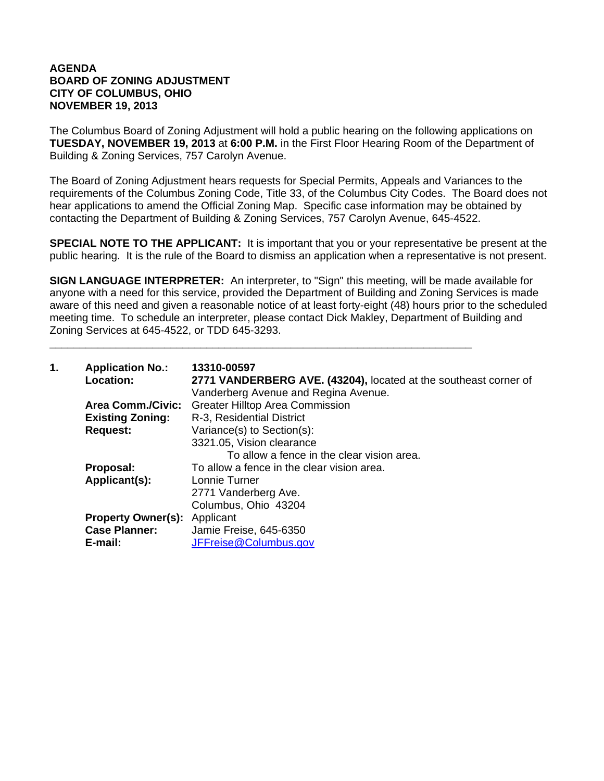## **AGENDA BOARD OF ZONING ADJUSTMENT CITY OF COLUMBUS, OHIO NOVEMBER 19, 2013**

The Columbus Board of Zoning Adjustment will hold a public hearing on the following applications on **TUESDAY, NOVEMBER 19, 2013** at **6:00 P.M.** in the First Floor Hearing Room of the Department of Building & Zoning Services, 757 Carolyn Avenue.

The Board of Zoning Adjustment hears requests for Special Permits, Appeals and Variances to the requirements of the Columbus Zoning Code, Title 33, of the Columbus City Codes. The Board does not hear applications to amend the Official Zoning Map. Specific case information may be obtained by contacting the Department of Building & Zoning Services, 757 Carolyn Avenue, 645-4522.

**SPECIAL NOTE TO THE APPLICANT:** It is important that you or your representative be present at the public hearing. It is the rule of the Board to dismiss an application when a representative is not present.

**SIGN LANGUAGE INTERPRETER:** An interpreter, to "Sign" this meeting, will be made available for anyone with a need for this service, provided the Department of Building and Zoning Services is made aware of this need and given a reasonable notice of at least forty-eight (48) hours prior to the scheduled meeting time. To schedule an interpreter, please contact Dick Makley, Department of Building and Zoning Services at 645-4522, or TDD 645-3293.

\_\_\_\_\_\_\_\_\_\_\_\_\_\_\_\_\_\_\_\_\_\_\_\_\_\_\_\_\_\_\_\_\_\_\_\_\_\_\_\_\_\_\_\_\_\_\_\_\_\_\_\_\_\_\_\_\_\_\_\_\_\_\_\_\_\_\_\_\_\_

| 1. | <b>Application No.:</b><br><b>Location:</b> | 13310-00597<br>2771 VANDERBERG AVE. (43204), located at the southeast corner of<br>Vanderberg Avenue and Regina Avenue. |
|----|---------------------------------------------|-------------------------------------------------------------------------------------------------------------------------|
|    | <b>Area Comm./Civic:</b>                    | <b>Greater Hilltop Area Commission</b>                                                                                  |
|    | <b>Existing Zoning:</b>                     | R-3, Residential District                                                                                               |
|    | <b>Request:</b>                             | Variance(s) to Section(s):                                                                                              |
|    |                                             | 3321.05, Vision clearance                                                                                               |
|    |                                             | To allow a fence in the clear vision area.                                                                              |
|    | Proposal:                                   | To allow a fence in the clear vision area.                                                                              |
|    | Applicant(s):                               | Lonnie Turner                                                                                                           |
|    |                                             | 2771 Vanderberg Ave.                                                                                                    |
|    |                                             | Columbus, Ohio 43204                                                                                                    |
|    | <b>Property Owner(s):</b>                   | Applicant                                                                                                               |
|    | <b>Case Planner:</b>                        | Jamie Freise, 645-6350                                                                                                  |
|    | E-mail:                                     | JFFreise@Columbus.gov                                                                                                   |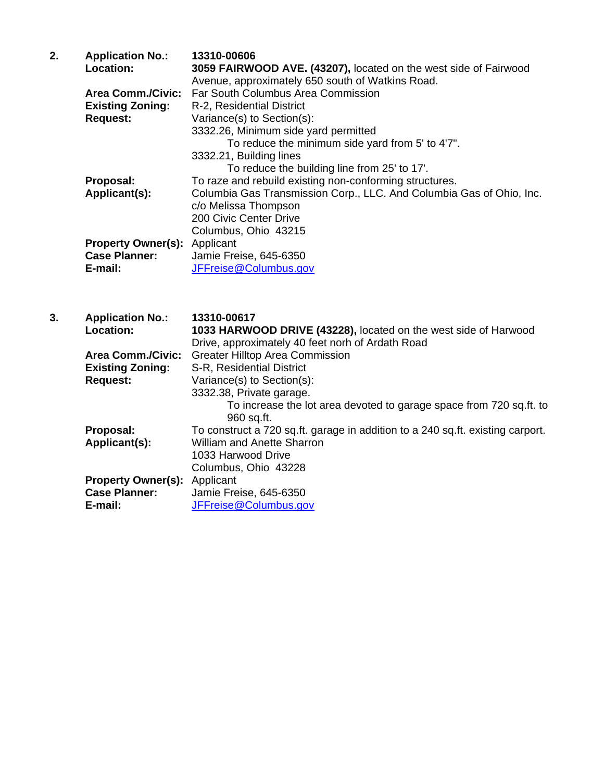| 2. | <b>Application No.:</b>   | 13310-00606                                                          |
|----|---------------------------|----------------------------------------------------------------------|
|    | <b>Location:</b>          | 3059 FAIRWOOD AVE. (43207), located on the west side of Fairwood     |
|    |                           | Avenue, approximately 650 south of Watkins Road.                     |
|    | <b>Area Comm./Civic:</b>  | Far South Columbus Area Commission                                   |
|    | <b>Existing Zoning:</b>   | R-2, Residential District                                            |
|    | <b>Request:</b>           | Variance(s) to Section(s):                                           |
|    |                           | 3332.26, Minimum side yard permitted                                 |
|    |                           | To reduce the minimum side yard from 5' to 4'7".                     |
|    |                           | 3332.21, Building lines                                              |
|    |                           | To reduce the building line from 25' to 17'.                         |
|    | Proposal:                 | To raze and rebuild existing non-conforming structures.              |
|    | Applicant(s):             | Columbia Gas Transmission Corp., LLC. And Columbia Gas of Ohio, Inc. |
|    |                           | c/o Melissa Thompson                                                 |
|    |                           | 200 Civic Center Drive                                               |
|    |                           | Columbus, Ohio 43215                                                 |
|    | <b>Property Owner(s):</b> | Applicant                                                            |
|    | <b>Case Planner:</b>      | Jamie Freise, 645-6350                                               |
|    | E-mail:                   | JFFreise@Columbus.gov                                                |

| 3. | <b>Application No.:</b>             | 13310-00617                                                                    |
|----|-------------------------------------|--------------------------------------------------------------------------------|
|    | <b>Location:</b>                    | 1033 HARWOOD DRIVE (43228), located on the west side of Harwood                |
|    |                                     | Drive, approximately 40 feet norh of Ardath Road                               |
|    | <b>Area Comm./Civic:</b>            | <b>Greater Hilltop Area Commission</b>                                         |
|    | <b>Existing Zoning:</b>             | S-R, Residential District                                                      |
|    | <b>Request:</b>                     | Variance(s) to Section(s):                                                     |
|    |                                     | 3332.38, Private garage.                                                       |
|    |                                     | To increase the lot area devoted to garage space from 720 sq.ft. to            |
|    |                                     | 960 sq.ft.                                                                     |
|    | Proposal:                           | To construct a 720 sq.ft. garage in addition to a 240 sq.ft. existing carport. |
|    | Applicant(s):                       | <b>William and Anette Sharron</b>                                              |
|    |                                     | 1033 Harwood Drive                                                             |
|    |                                     | Columbus, Ohio 43228                                                           |
|    | <b>Property Owner(s):</b> Applicant |                                                                                |
|    | <b>Case Planner:</b>                | Jamie Freise, 645-6350                                                         |
|    | E-mail:                             | JFFreise@Columbus.gov                                                          |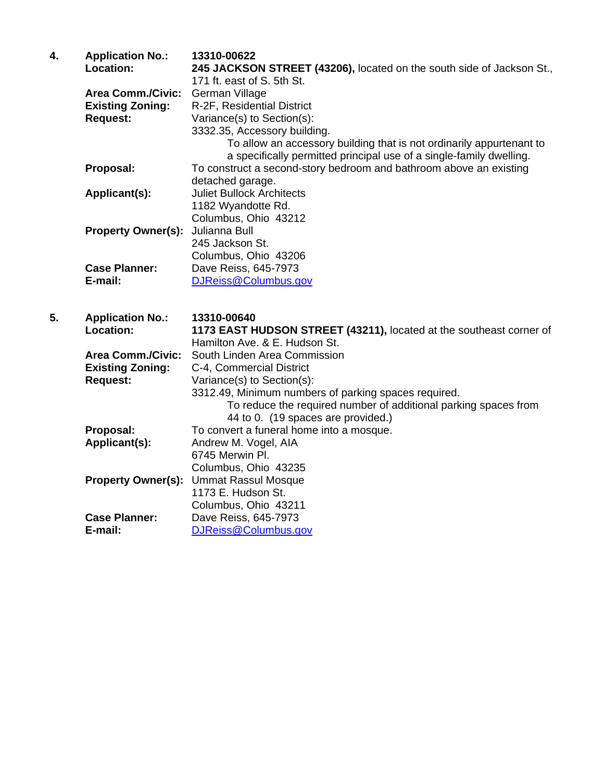| 4. | <b>Application No.:</b><br>Location:                                   | 13310-00622<br>245 JACKSON STREET (43206), located on the south side of Jackson St.,<br>171 ft. east of S. 5th St.                                                                                                                                        |
|----|------------------------------------------------------------------------|-----------------------------------------------------------------------------------------------------------------------------------------------------------------------------------------------------------------------------------------------------------|
|    | <b>Area Comm./Civic:</b><br><b>Existing Zoning:</b><br><b>Request:</b> | German Village<br>R-2F, Residential District<br>Variance(s) to Section(s):<br>3332.35, Accessory building.<br>To allow an accessory building that is not ordinarily appurtenant to<br>a specifically permitted principal use of a single-family dwelling. |
|    | Proposal:                                                              | To construct a second-story bedroom and bathroom above an existing<br>detached garage.                                                                                                                                                                    |
|    | Applicant(s):                                                          | <b>Juliet Bullock Architects</b><br>1182 Wyandotte Rd.<br>Columbus, Ohio 43212                                                                                                                                                                            |
|    | <b>Property Owner(s):</b>                                              | Julianna Bull<br>245 Jackson St.<br>Columbus, Ohio 43206                                                                                                                                                                                                  |
|    | <b>Case Planner:</b><br>E-mail:                                        | Dave Reiss, 645-7973<br>DJReiss@Columbus.gov                                                                                                                                                                                                              |
| 5. | <b>Application No.:</b><br>Location:                                   | 13310-00640<br>1173 EAST HUDSON STREET (43211), located at the southeast corner of<br>Hamilton Ave. & E. Hudson St.                                                                                                                                       |
|    | <b>Area Comm./Civic:</b><br><b>Existing Zoning:</b>                    | South Linden Area Commission<br>C-4, Commercial District                                                                                                                                                                                                  |
|    | <b>Request:</b>                                                        | Variance(s) to Section(s):<br>3312.49, Minimum numbers of parking spaces required.<br>To reduce the required number of additional parking spaces from<br>44 to 0. (19 spaces are provided.)                                                               |
|    | Proposal:<br>Applicant(s):                                             | To convert a funeral home into a mosque.<br>Andrew M. Vogel, AIA<br>6745 Merwin Pl.                                                                                                                                                                       |
|    | <b>Property Owner(s):</b>                                              | Columbus, Ohio 43235<br><b>Ummat Rassul Mosque</b><br>1173 E. Hudson St.<br>Columbus, Ohio 43211                                                                                                                                                          |
|    | <b>Case Planner:</b><br>E-mail:                                        | Dave Reiss, 645-7973<br>DJReiss@Columbus.gov                                                                                                                                                                                                              |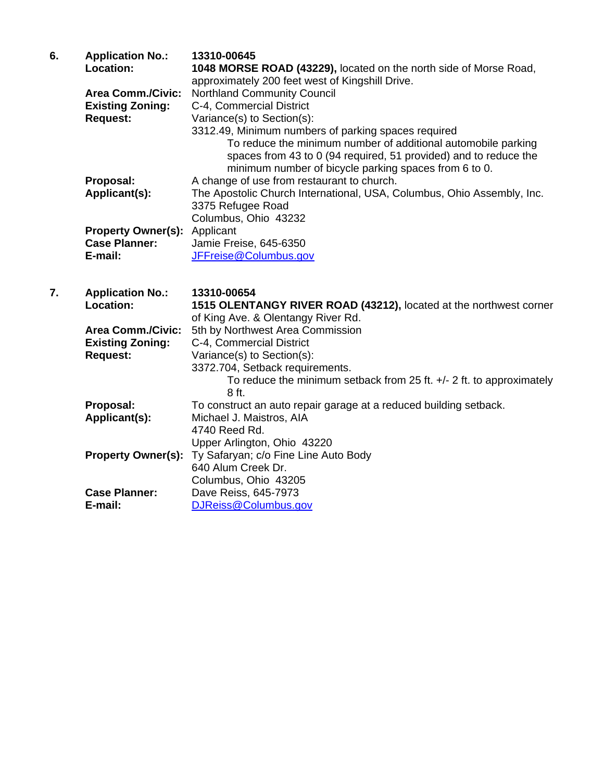| 6. | <b>Application No.:</b>             | 13310-00645                                                            |
|----|-------------------------------------|------------------------------------------------------------------------|
|    | Location:                           | 1048 MORSE ROAD (43229), located on the north side of Morse Road,      |
|    |                                     | approximately 200 feet west of Kingshill Drive.                        |
|    | <b>Area Comm./Civic:</b>            | <b>Northland Community Council</b>                                     |
|    | <b>Existing Zoning:</b>             | C-4, Commercial District                                               |
|    | <b>Request:</b>                     | Variance(s) to Section(s):                                             |
|    |                                     | 3312.49, Minimum numbers of parking spaces required                    |
|    |                                     | To reduce the minimum number of additional automobile parking          |
|    |                                     | spaces from 43 to 0 (94 required, 51 provided) and to reduce the       |
|    |                                     | minimum number of bicycle parking spaces from 6 to 0.                  |
|    | Proposal:                           | A change of use from restaurant to church.                             |
|    | Applicant(s):                       | The Apostolic Church International, USA, Columbus, Ohio Assembly, Inc. |
|    |                                     | 3375 Refugee Road                                                      |
|    |                                     | Columbus, Ohio 43232                                                   |
|    | <b>Property Owner(s):</b> Applicant |                                                                        |
|    | <b>Case Planner:</b>                | Jamie Freise, 645-6350                                                 |
|    | E-mail:                             | JFFreise@Columbus.gov                                                  |
|    |                                     |                                                                        |

**7. Application No.: 13310-00654 1515 OLENTANGY RIVER ROAD (43212), located at the northwest corner** of King Ave. & Olentangy River Rd.  **Area Comm./Civic:** 5th by Northwest Area Commission  **Existing Zoning:** C-4, Commercial District **Request:** Variance(s) to Section(s): 3372.704, Setback requirements. To reduce the minimum setback from 25 ft. +/- 2 ft. to approximately 8 ft. **Proposal:** To construct an auto repair garage at a reduced building setback. **Applicant(s):** Michael J. Maistros, AIA 4740 Reed Rd. Upper Arlington, Ohio 43220 **Property Owner(s):** Ty Safaryan; c/o Fine Line Auto Body 640 Alum Creek Dr. Columbus, Ohio 43205 **Case Planner:** Dave Reiss, 645-7973 **E-mail:** DJReiss@Columbus.gov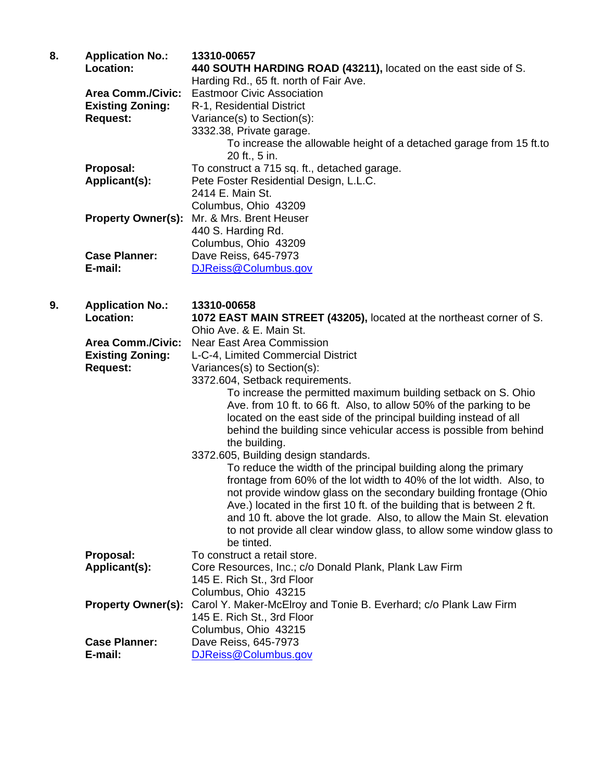| 8. | <b>Application No.:</b><br>Location:                | 13310-00657<br>440 SOUTH HARDING ROAD (43211), located on the east side of S.<br>Harding Rd., 65 ft. north of Fair Ave.                       |
|----|-----------------------------------------------------|-----------------------------------------------------------------------------------------------------------------------------------------------|
|    | <b>Area Comm./Civic:</b><br><b>Existing Zoning:</b> | <b>Eastmoor Civic Association</b><br>R-1, Residential District                                                                                |
|    | <b>Request:</b>                                     | Variance(s) to Section(s):                                                                                                                    |
|    |                                                     | 3332.38, Private garage.                                                                                                                      |
|    |                                                     | To increase the allowable height of a detached garage from 15 ft.to<br>20 ft., 5 in.                                                          |
|    | Proposal:                                           | To construct a 715 sq. ft., detached garage.                                                                                                  |
|    | Applicant(s):                                       | Pete Foster Residential Design, L.L.C.                                                                                                        |
|    |                                                     | 2414 E. Main St.                                                                                                                              |
|    | <b>Property Owner(s):</b>                           | Columbus, Ohio 43209<br>Mr. & Mrs. Brent Heuser                                                                                               |
|    |                                                     | 440 S. Harding Rd.                                                                                                                            |
|    |                                                     | Columbus, Ohio 43209                                                                                                                          |
|    | <b>Case Planner:</b>                                | Dave Reiss, 645-7973                                                                                                                          |
|    | E-mail:                                             | DJReiss@Columbus.gov                                                                                                                          |
| 9. | <b>Application No.:</b>                             | 13310-00658                                                                                                                                   |
|    | Location:                                           | 1072 EAST MAIN STREET (43205), located at the northeast corner of S.                                                                          |
|    |                                                     | Ohio Ave. & E. Main St.                                                                                                                       |
|    | <b>Area Comm./Civic:</b>                            | <b>Near East Area Commission</b>                                                                                                              |
|    | <b>Existing Zoning:</b>                             | L-C-4, Limited Commercial District                                                                                                            |
|    | <b>Request:</b>                                     | Variances(s) to Section(s):<br>3372.604, Setback requirements.                                                                                |
|    |                                                     | To increase the permitted maximum building setback on S. Ohio                                                                                 |
|    |                                                     | Ave. from 10 ft. to 66 ft. Also, to allow 50% of the parking to be                                                                            |
|    |                                                     | located on the east side of the principal building instead of all<br>behind the building since vehicular access is possible from behind       |
|    |                                                     | the building.                                                                                                                                 |
|    |                                                     | 3372.605, Building design standards.                                                                                                          |
|    |                                                     | To reduce the width of the principal building along the primary<br>frontage from 60% of the lot width to 40% of the lot width. Also, to       |
|    |                                                     | not provide window glass on the secondary building frontage (Ohio                                                                             |
|    |                                                     | Ave.) located in the first 10 ft. of the building that is between 2 ft.                                                                       |
|    |                                                     | and 10 ft. above the lot grade. Also, to allow the Main St. elevation<br>to not provide all clear window glass, to allow some window glass to |
|    |                                                     | be tinted.                                                                                                                                    |
|    | Proposal:                                           | To construct a retail store.                                                                                                                  |
|    | Applicant(s):                                       | Core Resources, Inc.; c/o Donald Plank, Plank Law Firm                                                                                        |
|    |                                                     | 145 E. Rich St., 3rd Floor                                                                                                                    |
|    | <b>Property Owner(s):</b>                           | Columbus, Ohio 43215<br>Carol Y. Maker-McElroy and Tonie B. Everhard; c/o Plank Law Firm                                                      |
|    |                                                     | 145 E. Rich St., 3rd Floor                                                                                                                    |

 Columbus, Ohio 43215 **Case Planner:** Dave Reiss, 645-7973

**E-mail:** DJReiss@Columbus.gov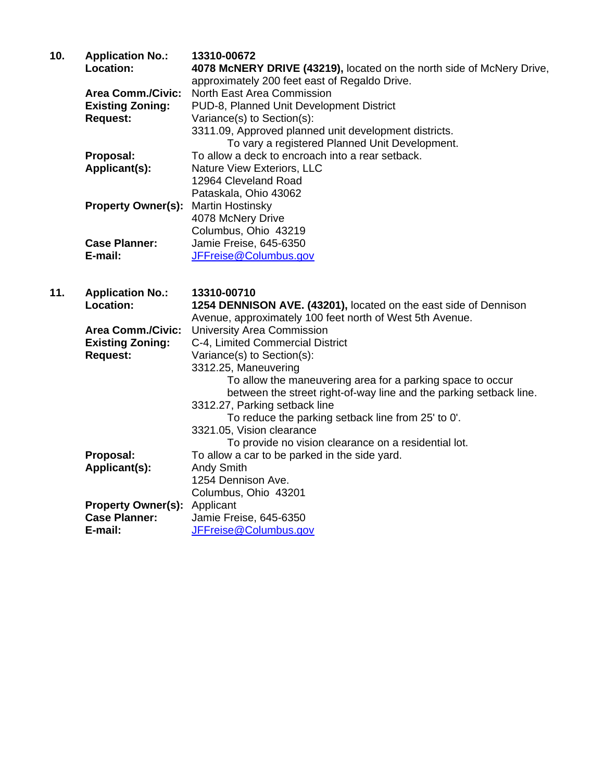| 10. | <b>Application No.:</b>   | 13310-00672                                                           |
|-----|---------------------------|-----------------------------------------------------------------------|
|     | <b>Location:</b>          | 4078 McNERY DRIVE (43219), located on the north side of McNery Drive, |
|     |                           | approximately 200 feet east of Regaldo Drive.                         |
|     | <b>Area Comm./Civic:</b>  | North East Area Commission                                            |
|     | <b>Existing Zoning:</b>   | PUD-8, Planned Unit Development District                              |
|     | <b>Request:</b>           | Variance(s) to Section(s):                                            |
|     |                           | 3311.09, Approved planned unit development districts.                 |
|     |                           | To vary a registered Planned Unit Development.                        |
|     | Proposal:                 | To allow a deck to encroach into a rear setback.                      |
|     | Applicant(s):             | Nature View Exteriors, LLC                                            |
|     |                           | 12964 Cleveland Road                                                  |
|     |                           | Pataskala, Ohio 43062                                                 |
|     | <b>Property Owner(s):</b> | <b>Martin Hostinsky</b>                                               |
|     |                           | 4078 McNery Drive                                                     |
|     |                           | Columbus, Ohio 43219                                                  |
|     | <b>Case Planner:</b>      | Jamie Freise, 645-6350                                                |
|     | E-mail:                   | JFFreise@Columbus.gov                                                 |
|     |                           |                                                                       |

| 11. | <b>Application No.:</b>   | 13310-00710                                                        |
|-----|---------------------------|--------------------------------------------------------------------|
|     | <b>Location:</b>          | 1254 DENNISON AVE. (43201), located on the east side of Dennison   |
|     |                           | Avenue, approximately 100 feet north of West 5th Avenue.           |
|     | <b>Area Comm./Civic:</b>  | <b>University Area Commission</b>                                  |
|     | <b>Existing Zoning:</b>   | C-4, Limited Commercial District                                   |
|     | <b>Request:</b>           | Variance(s) to Section(s):                                         |
|     |                           | 3312.25, Maneuvering                                               |
|     |                           | To allow the maneuvering area for a parking space to occur         |
|     |                           | between the street right-of-way line and the parking setback line. |
|     |                           | 3312.27, Parking setback line                                      |
|     |                           | To reduce the parking setback line from 25' to 0'.                 |
|     |                           | 3321.05, Vision clearance                                          |
|     |                           | To provide no vision clearance on a residential lot.               |
|     | Proposal:                 | To allow a car to be parked in the side yard.                      |
|     | Applicant(s):             | <b>Andy Smith</b>                                                  |
|     |                           | 1254 Dennison Ave.                                                 |
|     |                           | Columbus, Ohio 43201                                               |
|     | <b>Property Owner(s):</b> | Applicant                                                          |
|     | <b>Case Planner:</b>      | Jamie Freise, 645-6350                                             |
|     | E-mail:                   | JFFreise@Columbus.gov                                              |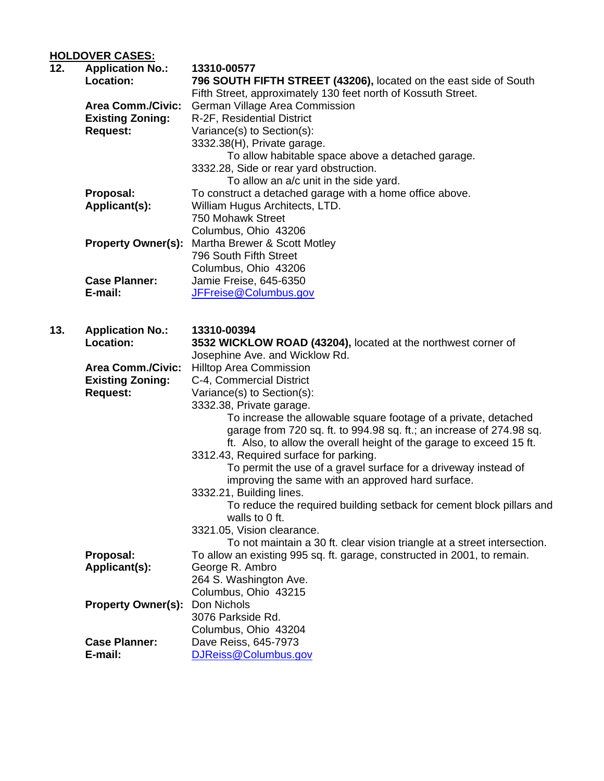## **HOLDOVER CASES:**

| 12. | <b>Application No.:</b><br>Location: | 13310-00577<br>796 SOUTH FIFTH STREET (43206), located on the east side of South                       |
|-----|--------------------------------------|--------------------------------------------------------------------------------------------------------|
|     |                                      | Fifth Street, approximately 130 feet north of Kossuth Street.                                          |
|     | <b>Area Comm./Civic:</b>             | German Village Area Commission                                                                         |
|     | <b>Existing Zoning:</b>              | R-2F, Residential District                                                                             |
|     | <b>Request:</b>                      | Variance(s) to Section(s):                                                                             |
|     |                                      | 3332.38(H), Private garage.                                                                            |
|     |                                      | To allow habitable space above a detached garage.                                                      |
|     |                                      | 3332.28, Side or rear yard obstruction.                                                                |
|     |                                      | To allow an a/c unit in the side yard.                                                                 |
|     | Proposal:                            | To construct a detached garage with a home office above.                                               |
|     | Applicant(s):                        | William Hugus Architects, LTD.                                                                         |
|     |                                      | 750 Mohawk Street                                                                                      |
|     |                                      | Columbus, Ohio 43206                                                                                   |
|     | <b>Property Owner(s):</b>            | Martha Brewer & Scott Motley                                                                           |
|     |                                      | 796 South Fifth Street                                                                                 |
|     |                                      | Columbus, Ohio 43206                                                                                   |
|     | <b>Case Planner:</b>                 | Jamie Freise, 645-6350                                                                                 |
|     | E-mail:                              | JFFreise@Columbus.gov                                                                                  |
|     |                                      |                                                                                                        |
| 13. | <b>Application No.:</b>              | 13310-00394                                                                                            |
|     | Location:                            | 3532 WICKLOW ROAD (43204), located at the northwest corner of                                          |
|     |                                      | Josephine Ave. and Wicklow Rd.                                                                         |
|     | <b>Area Comm./Civic:</b>             | <b>Hilltop Area Commission</b>                                                                         |
|     | <b>Existing Zoning:</b>              | C-4, Commercial District                                                                               |
|     | <b>Request:</b>                      | Variance(s) to Section(s):                                                                             |
|     |                                      | 3332.38, Private garage.                                                                               |
|     |                                      | To increase the allowable square footage of a private, detached                                        |
|     |                                      | garage from 720 sq. ft. to 994.98 sq. ft.; an increase of 274.98 sq.                                   |
|     |                                      | ft. Also, to allow the overall height of the garage to exceed 15 ft.                                   |
|     |                                      | 3312.43, Required surface for parking.                                                                 |
|     |                                      | To permit the use of a gravel surface for a driveway instead of                                        |
|     |                                      | improving the same with an approved hard surface.                                                      |
|     |                                      | 3332.21, Building lines.                                                                               |
|     |                                      | To reduce the required building setback for cement block pillars and<br>walls to 0 ft.                 |
|     |                                      |                                                                                                        |
|     |                                      | 3321.05, Vision clearance.<br>To not maintain a 30 ft. clear vision triangle at a street intersection. |
|     | Proposal:                            | To allow an existing 995 sq. ft. garage, constructed in 2001, to remain.                               |
|     | Applicant(s):                        | George R. Ambro                                                                                        |
|     |                                      | 264 S. Washington Ave.                                                                                 |
|     |                                      | Columbus, Ohio 43215                                                                                   |
|     | <b>Property Owner(s):</b>            | Don Nichols                                                                                            |
|     |                                      | 3076 Parkside Rd.                                                                                      |
|     |                                      | Columbus, Ohio 43204                                                                                   |
|     | <b>Case Planner:</b>                 | Dave Reiss, 645-7973                                                                                   |
|     | E-mail:                              | DJReiss@Columbus.gov                                                                                   |
|     |                                      |                                                                                                        |